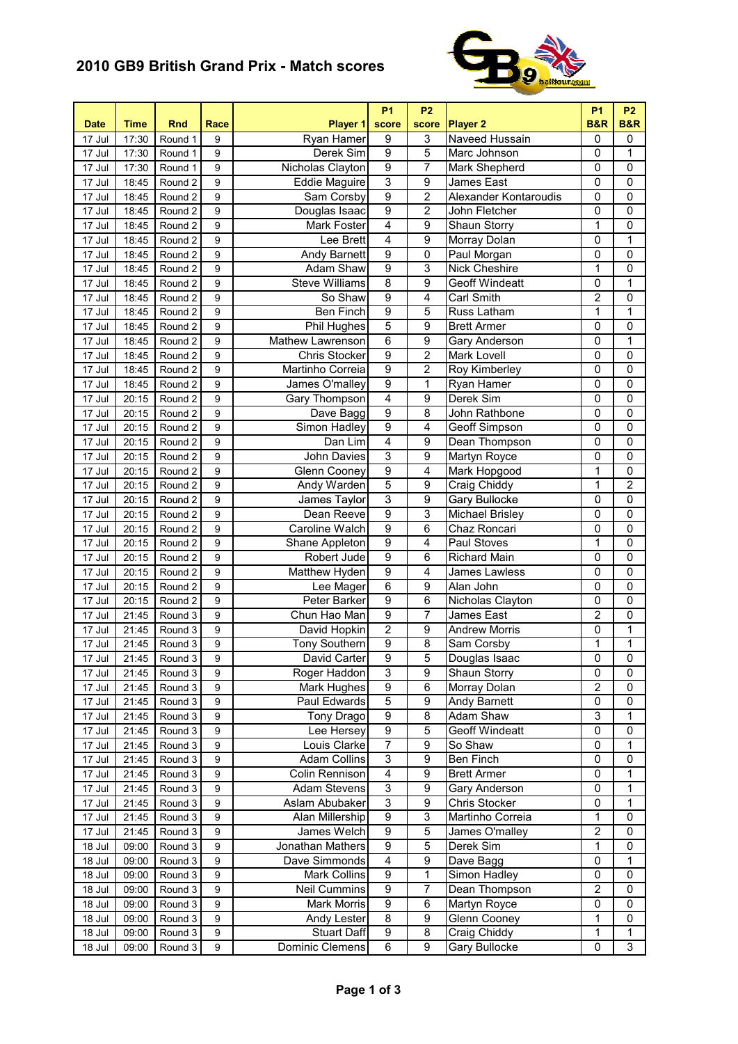## **2010 GB9 British Grand Prix - Match scores**



| Ryan Hamer<br>$\boldsymbol{9}$<br>3<br>Naveed Hussain<br>0<br>$\mathbf 0$<br>17 Jul<br>17:30<br>Round 1<br>9<br>$\overline{9}$<br>5<br>Derek Sim<br>$\mathbf 0$<br>9<br>Marc Johnson<br>1<br>17 Jul<br>17:30<br>Round 1<br>$\overline{9}$<br>7<br>Nicholas Clayton<br>0<br>0<br>17 Jul<br>9<br>Mark Shepherd<br>17:30<br>Round 1<br>$\overline{3}$<br>$\overline{9}$<br>0<br>9<br>0<br>17 Jul<br><b>Eddie Maguire</b><br>James East<br>18:45<br>Round 2<br>$\overline{9}$<br>$\overline{2}$<br>9<br>0<br>0<br>Sam Corsby<br>Alexander Kontaroudis<br>17 Jul<br>18:45<br>Round 2<br>$\overline{9}$<br>$\overline{2}$<br>9<br>Douglas Isaac<br>$\overline{0}$<br>$\mathbf 0$<br>John Fletcher<br>17 Jul<br>18:45<br>Round 2<br>4<br>$\overline{9}$<br>$\overline{1}$<br>$\overline{0}$<br>9<br><b>Mark Foster</b><br><b>Shaun Storry</b><br>Round 2<br>17 Jul<br>18:45<br>4<br>$\overline{9}$<br>$\mathbf{1}$<br>9<br>Lee Brett<br>Morray Dolan<br>0<br>17 Jul<br>18:45<br>Round 2<br>$\overline{9}$<br>$\mathbf 0$<br>0<br>9<br>Paul Morgan<br>0<br>Round 2<br>Andy Barnett<br>17 Jul<br>18:45<br>$\overline{9}$<br>3<br><b>Nick Cheshire</b><br>1<br>$\mathbf 0$<br>$\boldsymbol{9}$<br>Adam Shaw<br>17 Jul<br>18:45<br>Round 2<br>$\overline{8}$<br>$\overline{9}$<br>$\overline{0}$<br>$\mathbf{1}$<br>9<br><b>Steve Williams</b><br>17 Jul<br>Round 2<br><b>Geoff Windeatt</b><br>18:45<br>9<br>$\overline{2}$<br>0<br>9<br>So Shaw<br>4<br>Carl Smith<br>17 Jul<br>18:45<br>Round 2<br>9<br>5<br>1<br>9<br><b>Ben Finch</b><br>1<br>17 Jul<br>18:45<br>Round 2<br>Russ Latham<br>$\overline{5}$<br>9<br>9<br>$\mathbf 0$<br><b>Brett Armer</b><br>$\mathbf 0$<br>17 Jul<br>18:45<br>Round 2<br>Phil Hughes<br>6<br>9<br>$\mathbf 0$<br>1<br>17 Jul<br>18:45<br>Round 2<br>9<br>Mathew Lawrenson<br>Gary Anderson<br>9<br>$\overline{2}$<br>0<br>17 Jul<br>Round 2<br>9<br><b>Chris Stocker</b><br>Mark Lovell<br>0<br>18:45<br>$\overline{9}$<br>$\overline{2}$<br>0<br>0<br>Round 2<br>9<br>Martinho Correia<br>Roy Kimberley<br>17 Jul<br>18:45<br>$\overline{9}$<br>1<br>$\mathbf 0$<br>0<br>Round 2<br>9<br>James O'malley<br>Ryan Hamer<br>17 Jul<br>18:45<br>$\overline{4}$<br>$\overline{9}$<br>$\overline{0}$<br>$\overline{0}$<br>9<br>Derek Sim<br>17 Jul<br>Round <sub>2</sub><br>Gary Thompson<br>20:15<br>$\overline{9}$<br>8<br>0<br>Dave Bagg<br>0<br>17 Jul<br>Round 2<br>9<br>John Rathbone<br>20:15<br>$\overline{9}$<br>$\overline{4}$<br>0<br>0<br>9<br>Simon Hadley<br><b>Geoff Simpson</b><br>17 Jul<br>Round <sub>2</sub><br>20:15<br>$\overline{\mathbf{4}}$<br>9<br>$\overline{9}$<br>0<br>0<br>Dan Lim<br>Dean Thompson<br>17 Jul<br>20:15<br>Round 2<br>$\overline{3}$<br>9<br>0<br>0<br>17 Jul<br>20:15<br>Round 2<br>9<br>John Davies<br>Martyn Royce<br>$\overline{9}$<br>$\overline{1}$<br>$\overline{0}$<br>4<br><b>Mark Hopgood</b><br>17 Jul<br>20:15<br>Round 2<br>9<br>Glenn Cooney<br>5<br>$\overline{2}$<br>$\overline{9}$<br>1<br>9<br>Andy Warden<br>Craig Chiddy<br>17 Jul<br>20:15<br>Round 2<br>$\overline{3}$<br>$\overline{9}$<br>9<br>James Taylor<br><b>Gary Bullocke</b><br>0<br>$\mathbf 0$<br>17 Jul<br>20:15<br>Round 2<br>$\overline{9}$<br>3<br>$\overline{0}$<br>$\boldsymbol{9}$<br>Dean Reeve<br>Michael Brisley<br>$\mathbf 0$<br>17 Jul<br>20:15<br>Round 2<br>$\overline{9}$<br>$\overline{0}$<br>$\overline{0}$<br>9<br>Caroline Walch<br>6<br>17 Jul<br>Chaz Roncari<br>20:15<br>Round 2<br>9<br>$\mathbf 1$<br>9<br>4<br>Paul Stoves<br>$\mathbf 0$<br>17 Jul<br>Round 2<br>Shane Appleton<br>20:15<br>9<br>9<br>6<br>Richard Main<br>$\pmb{0}$<br>$\mathbf 0$<br>17 Jul<br>Round 2<br>Robert Jude<br>20:15<br>9<br>17 Jul<br>9<br>Matthew Hyden<br>4<br>0<br>$\mathbf 0$<br>20:15<br>Round 2<br>James Lawless<br>6<br>Alan John<br>17 Jul<br>Round 2<br>9<br>Lee Mager<br>9<br>0<br>0<br>20:15<br>9<br>6<br>9<br>Peter Barker<br>Nicholas Clayton<br>0<br>0<br>17 Jul<br>20:15<br>Round 2<br>$\overline{2}$<br>$\overline{9}$<br>$\overline{7}$<br>$\boldsymbol{9}$<br>0<br>Chun Hao Man<br>James East<br>17 Jul<br>21:45<br>Round 3<br>$\overline{2}$<br>$\overline{9}$<br>$\overline{0}$<br>$\mathbf{1}$<br>$\boldsymbol{9}$<br>David Hopkin<br><b>Andrew Morris</b><br>17 Jul<br>21:45<br>Round 3<br>$\overline{9}$<br>$\overline{8}$<br>1<br>1<br><b>Tony Southern</b><br>9<br>Sam Corsby<br>17 Jul<br>21:45<br>Round 3<br>$\overline{9}$<br>David Carter<br>$\overline{5}$<br>Douglas Isaac<br>$\overline{0}$<br>$\overline{0}$<br>17 Jul<br>21:45<br>Round 3<br>9<br>3<br>9<br>0<br>0<br>Roger Haddon<br>Shaun Storry<br>Round 3<br>9<br>17 Jul<br>21:45<br>$\overline{9}$<br>$\overline{2}$<br>6<br>Round 3<br>9<br>Mark Hughes<br>Morray Dolan<br>0<br>17 Jul<br>21:45<br>5<br>9<br>Paul Edwards<br>9<br>Andy Barnett<br>0<br>0<br>17 Jul<br>21:45<br>Round 3<br>$\overline{9}$<br>8<br>$\ensuremath{\mathsf{3}}$<br>1<br>Tony Drago<br>Adam Shaw<br>17 Jul<br>21:45<br>Round 3<br>9<br>$\overline{9}$<br>5<br>Geoff Windeatt<br>0<br>0<br>9<br>Lee Hersey<br>17 Jul<br>Round 3<br>21:45<br>7<br>9<br>$\overline{0}$<br>9<br>Louis Clarke<br>So Shaw<br>1<br>17 Jul<br>Round 3<br>21:45<br>3<br>$\overline{9}$<br>$\overline{0}$<br>$\mathbf 0$<br>9<br><b>Adam Collins</b><br>Ben Finch<br>17 Jul<br>21:45<br>Round 3<br>$\overline{\mathbf{4}}$<br>$\overline{9}$<br><b>Brett Armer</b><br>0<br>1<br>17 Jul<br>Round 3<br>9<br>Colin Rennison<br>21:45<br>3<br>9<br>1<br>Round 3<br>9<br>Adam Stevens<br>Gary Anderson<br>0<br>17 Jul<br>21:45<br>3<br>9<br>1<br>9<br>Aslam Abubaker<br>Chris Stocker<br>0<br>17 Jul<br>Round 3<br>21:45<br>Alan Millership<br>9<br>3<br>1<br>17 Jul<br>9<br>Martinho Correia<br>0<br>21:45<br>Round 3<br>9<br>5<br>$\mathbf 2$<br>Round 3<br>9<br>James Welch<br>James O'malley<br>17 Jul<br>21:45<br>0<br>$\overline{9}$<br>$\overline{5}$<br>1<br>Round 3<br>Jonathan Mathers<br>Derek Sim<br>$\mathbf 0$<br>18 Jul<br>09:00<br>9<br>$\overline{9}$<br>4<br>Round 3<br>Dave Simmonds<br>Dave Bagg<br>0<br>18 Jul<br>9<br>1<br>09:00<br>$\boldsymbol{9}$<br>1<br>Simon Hadley<br>$\mathbf 0$<br>Round 3<br>Mark Collins<br>0<br>9<br>18 Jul<br>09:00<br>$\overline{\mathbf{c}}$<br>$\boldsymbol{9}$<br>Round 3<br>Neil Cummins<br>7<br>Dean Thompson<br>18 Jul<br>9<br>0<br>09:00<br>$\boldsymbol{9}$<br>6<br>Round 3<br>Mark Morris<br>Martyn Royce<br>0<br>18 Jul<br>9<br>0<br>09:00<br>1<br>8<br>9<br>Glenn Cooney<br>0<br>18 Jul<br>Round 3<br>9<br>Andy Lester<br>09:00<br>$\mathbf 1$<br>$\mathbf 1$<br>Stuart Daff<br>9<br>8<br>18 Jul<br>9<br>Craig Chiddy<br>09:00<br>Round 3 | <b>Date</b> | <b>Time</b> | <b>Rnd</b> | Race | Player 1        | <b>P1</b><br>score | <b>P2</b><br>score | <b>Player 2</b> | <b>P1</b><br><b>B&amp;R</b> | <b>P2</b><br><b>B&amp;R</b> |
|-------------------------------------------------------------------------------------------------------------------------------------------------------------------------------------------------------------------------------------------------------------------------------------------------------------------------------------------------------------------------------------------------------------------------------------------------------------------------------------------------------------------------------------------------------------------------------------------------------------------------------------------------------------------------------------------------------------------------------------------------------------------------------------------------------------------------------------------------------------------------------------------------------------------------------------------------------------------------------------------------------------------------------------------------------------------------------------------------------------------------------------------------------------------------------------------------------------------------------------------------------------------------------------------------------------------------------------------------------------------------------------------------------------------------------------------------------------------------------------------------------------------------------------------------------------------------------------------------------------------------------------------------------------------------------------------------------------------------------------------------------------------------------------------------------------------------------------------------------------------------------------------------------------------------------------------------------------------------------------------------------------------------------------------------------------------------------------------------------------------------------------------------------------------------------------------------------------------------------------------------------------------------------------------------------------------------------------------------------------------------------------------------------------------------------------------------------------------------------------------------------------------------------------------------------------------------------------------------------------------------------------------------------------------------------------------------------------------------------------------------------------------------------------------------------------------------------------------------------------------------------------------------------------------------------------------------------------------------------------------------------------------------------------------------------------------------------------------------------------------------------------------------------------------------------------------------------------------------------------------------------------------------------------------------------------------------------------------------------------------------------------------------------------------------------------------------------------------------------------------------------------------------------------------------------------------------------------------------------------------------------------------------------------------------------------------------------------------------------------------------------------------------------------------------------------------------------------------------------------------------------------------------------------------------------------------------------------------------------------------------------------------------------------------------------------------------------------------------------------------------------------------------------------------------------------------------------------------------------------------------------------------------------------------------------------------------------------------------------------------------------------------------------------------------------------------------------------------------------------------------------------------------------------------------------------------------------------------------------------------------------------------------------------------------------------------------------------------------------------------------------------------------------------------------------------------------------------------------------------------------------------------------------------------------------------------------------------------------------------------------------------------------------------------------------------------------------------------------------------------------------------------------------------------------------------------------------------------------------------------------------------------------------------------------------------------------------------------------------------------------------------------------------------------------------------------------------------------------------------------------------------------------------------------------------------------------------------------------------------------------------------------------------------------------------------------------------------------------------------------------------------------------------------------------------------------------------------------------------------------------------------------------------------------------------------------------------------------------------------------------------------------------------------------------------------------------------------------------------------------------------------------------------------------------------------------------------------------------------------------------------------------------------------------------------------------------------------------------------------------------------------------------------------------------------------------------------------------------------------------------------------------------------------------------------------------------------------------------------|-------------|-------------|------------|------|-----------------|--------------------|--------------------|-----------------|-----------------------------|-----------------------------|
|                                                                                                                                                                                                                                                                                                                                                                                                                                                                                                                                                                                                                                                                                                                                                                                                                                                                                                                                                                                                                                                                                                                                                                                                                                                                                                                                                                                                                                                                                                                                                                                                                                                                                                                                                                                                                                                                                                                                                                                                                                                                                                                                                                                                                                                                                                                                                                                                                                                                                                                                                                                                                                                                                                                                                                                                                                                                                                                                                                                                                                                                                                                                                                                                                                                                                                                                                                                                                                                                                                                                                                                                                                                                                                                                                                                                                                                                                                                                                                                                                                                                                                                                                                                                                                                                                                                                                                                                                                                                                                                                                                                                                                                                                                                                                                                                                                                                                                                                                                                                                                                                                                                                                                                                                                                                                                                                                                                                                                                                                                                                                                                                                                                                                                                                                                                                                                                                                                                                                                                                                                                                                                                                                                                                                                                                                                                                                                                                                                                                                                                                                                                                       |             |             |            |      |                 |                    |                    |                 |                             |                             |
|                                                                                                                                                                                                                                                                                                                                                                                                                                                                                                                                                                                                                                                                                                                                                                                                                                                                                                                                                                                                                                                                                                                                                                                                                                                                                                                                                                                                                                                                                                                                                                                                                                                                                                                                                                                                                                                                                                                                                                                                                                                                                                                                                                                                                                                                                                                                                                                                                                                                                                                                                                                                                                                                                                                                                                                                                                                                                                                                                                                                                                                                                                                                                                                                                                                                                                                                                                                                                                                                                                                                                                                                                                                                                                                                                                                                                                                                                                                                                                                                                                                                                                                                                                                                                                                                                                                                                                                                                                                                                                                                                                                                                                                                                                                                                                                                                                                                                                                                                                                                                                                                                                                                                                                                                                                                                                                                                                                                                                                                                                                                                                                                                                                                                                                                                                                                                                                                                                                                                                                                                                                                                                                                                                                                                                                                                                                                                                                                                                                                                                                                                                                                       |             |             |            |      |                 |                    |                    |                 |                             |                             |
|                                                                                                                                                                                                                                                                                                                                                                                                                                                                                                                                                                                                                                                                                                                                                                                                                                                                                                                                                                                                                                                                                                                                                                                                                                                                                                                                                                                                                                                                                                                                                                                                                                                                                                                                                                                                                                                                                                                                                                                                                                                                                                                                                                                                                                                                                                                                                                                                                                                                                                                                                                                                                                                                                                                                                                                                                                                                                                                                                                                                                                                                                                                                                                                                                                                                                                                                                                                                                                                                                                                                                                                                                                                                                                                                                                                                                                                                                                                                                                                                                                                                                                                                                                                                                                                                                                                                                                                                                                                                                                                                                                                                                                                                                                                                                                                                                                                                                                                                                                                                                                                                                                                                                                                                                                                                                                                                                                                                                                                                                                                                                                                                                                                                                                                                                                                                                                                                                                                                                                                                                                                                                                                                                                                                                                                                                                                                                                                                                                                                                                                                                                                                       |             |             |            |      |                 |                    |                    |                 |                             |                             |
|                                                                                                                                                                                                                                                                                                                                                                                                                                                                                                                                                                                                                                                                                                                                                                                                                                                                                                                                                                                                                                                                                                                                                                                                                                                                                                                                                                                                                                                                                                                                                                                                                                                                                                                                                                                                                                                                                                                                                                                                                                                                                                                                                                                                                                                                                                                                                                                                                                                                                                                                                                                                                                                                                                                                                                                                                                                                                                                                                                                                                                                                                                                                                                                                                                                                                                                                                                                                                                                                                                                                                                                                                                                                                                                                                                                                                                                                                                                                                                                                                                                                                                                                                                                                                                                                                                                                                                                                                                                                                                                                                                                                                                                                                                                                                                                                                                                                                                                                                                                                                                                                                                                                                                                                                                                                                                                                                                                                                                                                                                                                                                                                                                                                                                                                                                                                                                                                                                                                                                                                                                                                                                                                                                                                                                                                                                                                                                                                                                                                                                                                                                                                       |             |             |            |      |                 |                    |                    |                 |                             |                             |
|                                                                                                                                                                                                                                                                                                                                                                                                                                                                                                                                                                                                                                                                                                                                                                                                                                                                                                                                                                                                                                                                                                                                                                                                                                                                                                                                                                                                                                                                                                                                                                                                                                                                                                                                                                                                                                                                                                                                                                                                                                                                                                                                                                                                                                                                                                                                                                                                                                                                                                                                                                                                                                                                                                                                                                                                                                                                                                                                                                                                                                                                                                                                                                                                                                                                                                                                                                                                                                                                                                                                                                                                                                                                                                                                                                                                                                                                                                                                                                                                                                                                                                                                                                                                                                                                                                                                                                                                                                                                                                                                                                                                                                                                                                                                                                                                                                                                                                                                                                                                                                                                                                                                                                                                                                                                                                                                                                                                                                                                                                                                                                                                                                                                                                                                                                                                                                                                                                                                                                                                                                                                                                                                                                                                                                                                                                                                                                                                                                                                                                                                                                                                       |             |             |            |      |                 |                    |                    |                 |                             |                             |
|                                                                                                                                                                                                                                                                                                                                                                                                                                                                                                                                                                                                                                                                                                                                                                                                                                                                                                                                                                                                                                                                                                                                                                                                                                                                                                                                                                                                                                                                                                                                                                                                                                                                                                                                                                                                                                                                                                                                                                                                                                                                                                                                                                                                                                                                                                                                                                                                                                                                                                                                                                                                                                                                                                                                                                                                                                                                                                                                                                                                                                                                                                                                                                                                                                                                                                                                                                                                                                                                                                                                                                                                                                                                                                                                                                                                                                                                                                                                                                                                                                                                                                                                                                                                                                                                                                                                                                                                                                                                                                                                                                                                                                                                                                                                                                                                                                                                                                                                                                                                                                                                                                                                                                                                                                                                                                                                                                                                                                                                                                                                                                                                                                                                                                                                                                                                                                                                                                                                                                                                                                                                                                                                                                                                                                                                                                                                                                                                                                                                                                                                                                                                       |             |             |            |      |                 |                    |                    |                 |                             |                             |
|                                                                                                                                                                                                                                                                                                                                                                                                                                                                                                                                                                                                                                                                                                                                                                                                                                                                                                                                                                                                                                                                                                                                                                                                                                                                                                                                                                                                                                                                                                                                                                                                                                                                                                                                                                                                                                                                                                                                                                                                                                                                                                                                                                                                                                                                                                                                                                                                                                                                                                                                                                                                                                                                                                                                                                                                                                                                                                                                                                                                                                                                                                                                                                                                                                                                                                                                                                                                                                                                                                                                                                                                                                                                                                                                                                                                                                                                                                                                                                                                                                                                                                                                                                                                                                                                                                                                                                                                                                                                                                                                                                                                                                                                                                                                                                                                                                                                                                                                                                                                                                                                                                                                                                                                                                                                                                                                                                                                                                                                                                                                                                                                                                                                                                                                                                                                                                                                                                                                                                                                                                                                                                                                                                                                                                                                                                                                                                                                                                                                                                                                                                                                       |             |             |            |      |                 |                    |                    |                 |                             |                             |
|                                                                                                                                                                                                                                                                                                                                                                                                                                                                                                                                                                                                                                                                                                                                                                                                                                                                                                                                                                                                                                                                                                                                                                                                                                                                                                                                                                                                                                                                                                                                                                                                                                                                                                                                                                                                                                                                                                                                                                                                                                                                                                                                                                                                                                                                                                                                                                                                                                                                                                                                                                                                                                                                                                                                                                                                                                                                                                                                                                                                                                                                                                                                                                                                                                                                                                                                                                                                                                                                                                                                                                                                                                                                                                                                                                                                                                                                                                                                                                                                                                                                                                                                                                                                                                                                                                                                                                                                                                                                                                                                                                                                                                                                                                                                                                                                                                                                                                                                                                                                                                                                                                                                                                                                                                                                                                                                                                                                                                                                                                                                                                                                                                                                                                                                                                                                                                                                                                                                                                                                                                                                                                                                                                                                                                                                                                                                                                                                                                                                                                                                                                                                       |             |             |            |      |                 |                    |                    |                 |                             |                             |
|                                                                                                                                                                                                                                                                                                                                                                                                                                                                                                                                                                                                                                                                                                                                                                                                                                                                                                                                                                                                                                                                                                                                                                                                                                                                                                                                                                                                                                                                                                                                                                                                                                                                                                                                                                                                                                                                                                                                                                                                                                                                                                                                                                                                                                                                                                                                                                                                                                                                                                                                                                                                                                                                                                                                                                                                                                                                                                                                                                                                                                                                                                                                                                                                                                                                                                                                                                                                                                                                                                                                                                                                                                                                                                                                                                                                                                                                                                                                                                                                                                                                                                                                                                                                                                                                                                                                                                                                                                                                                                                                                                                                                                                                                                                                                                                                                                                                                                                                                                                                                                                                                                                                                                                                                                                                                                                                                                                                                                                                                                                                                                                                                                                                                                                                                                                                                                                                                                                                                                                                                                                                                                                                                                                                                                                                                                                                                                                                                                                                                                                                                                                                       |             |             |            |      |                 |                    |                    |                 |                             |                             |
|                                                                                                                                                                                                                                                                                                                                                                                                                                                                                                                                                                                                                                                                                                                                                                                                                                                                                                                                                                                                                                                                                                                                                                                                                                                                                                                                                                                                                                                                                                                                                                                                                                                                                                                                                                                                                                                                                                                                                                                                                                                                                                                                                                                                                                                                                                                                                                                                                                                                                                                                                                                                                                                                                                                                                                                                                                                                                                                                                                                                                                                                                                                                                                                                                                                                                                                                                                                                                                                                                                                                                                                                                                                                                                                                                                                                                                                                                                                                                                                                                                                                                                                                                                                                                                                                                                                                                                                                                                                                                                                                                                                                                                                                                                                                                                                                                                                                                                                                                                                                                                                                                                                                                                                                                                                                                                                                                                                                                                                                                                                                                                                                                                                                                                                                                                                                                                                                                                                                                                                                                                                                                                                                                                                                                                                                                                                                                                                                                                                                                                                                                                                                       |             |             |            |      |                 |                    |                    |                 |                             |                             |
|                                                                                                                                                                                                                                                                                                                                                                                                                                                                                                                                                                                                                                                                                                                                                                                                                                                                                                                                                                                                                                                                                                                                                                                                                                                                                                                                                                                                                                                                                                                                                                                                                                                                                                                                                                                                                                                                                                                                                                                                                                                                                                                                                                                                                                                                                                                                                                                                                                                                                                                                                                                                                                                                                                                                                                                                                                                                                                                                                                                                                                                                                                                                                                                                                                                                                                                                                                                                                                                                                                                                                                                                                                                                                                                                                                                                                                                                                                                                                                                                                                                                                                                                                                                                                                                                                                                                                                                                                                                                                                                                                                                                                                                                                                                                                                                                                                                                                                                                                                                                                                                                                                                                                                                                                                                                                                                                                                                                                                                                                                                                                                                                                                                                                                                                                                                                                                                                                                                                                                                                                                                                                                                                                                                                                                                                                                                                                                                                                                                                                                                                                                                                       |             |             |            |      |                 |                    |                    |                 |                             |                             |
|                                                                                                                                                                                                                                                                                                                                                                                                                                                                                                                                                                                                                                                                                                                                                                                                                                                                                                                                                                                                                                                                                                                                                                                                                                                                                                                                                                                                                                                                                                                                                                                                                                                                                                                                                                                                                                                                                                                                                                                                                                                                                                                                                                                                                                                                                                                                                                                                                                                                                                                                                                                                                                                                                                                                                                                                                                                                                                                                                                                                                                                                                                                                                                                                                                                                                                                                                                                                                                                                                                                                                                                                                                                                                                                                                                                                                                                                                                                                                                                                                                                                                                                                                                                                                                                                                                                                                                                                                                                                                                                                                                                                                                                                                                                                                                                                                                                                                                                                                                                                                                                                                                                                                                                                                                                                                                                                                                                                                                                                                                                                                                                                                                                                                                                                                                                                                                                                                                                                                                                                                                                                                                                                                                                                                                                                                                                                                                                                                                                                                                                                                                                                       |             |             |            |      |                 |                    |                    |                 |                             |                             |
|                                                                                                                                                                                                                                                                                                                                                                                                                                                                                                                                                                                                                                                                                                                                                                                                                                                                                                                                                                                                                                                                                                                                                                                                                                                                                                                                                                                                                                                                                                                                                                                                                                                                                                                                                                                                                                                                                                                                                                                                                                                                                                                                                                                                                                                                                                                                                                                                                                                                                                                                                                                                                                                                                                                                                                                                                                                                                                                                                                                                                                                                                                                                                                                                                                                                                                                                                                                                                                                                                                                                                                                                                                                                                                                                                                                                                                                                                                                                                                                                                                                                                                                                                                                                                                                                                                                                                                                                                                                                                                                                                                                                                                                                                                                                                                                                                                                                                                                                                                                                                                                                                                                                                                                                                                                                                                                                                                                                                                                                                                                                                                                                                                                                                                                                                                                                                                                                                                                                                                                                                                                                                                                                                                                                                                                                                                                                                                                                                                                                                                                                                                                                       |             |             |            |      |                 |                    |                    |                 |                             |                             |
|                                                                                                                                                                                                                                                                                                                                                                                                                                                                                                                                                                                                                                                                                                                                                                                                                                                                                                                                                                                                                                                                                                                                                                                                                                                                                                                                                                                                                                                                                                                                                                                                                                                                                                                                                                                                                                                                                                                                                                                                                                                                                                                                                                                                                                                                                                                                                                                                                                                                                                                                                                                                                                                                                                                                                                                                                                                                                                                                                                                                                                                                                                                                                                                                                                                                                                                                                                                                                                                                                                                                                                                                                                                                                                                                                                                                                                                                                                                                                                                                                                                                                                                                                                                                                                                                                                                                                                                                                                                                                                                                                                                                                                                                                                                                                                                                                                                                                                                                                                                                                                                                                                                                                                                                                                                                                                                                                                                                                                                                                                                                                                                                                                                                                                                                                                                                                                                                                                                                                                                                                                                                                                                                                                                                                                                                                                                                                                                                                                                                                                                                                                                                       |             |             |            |      |                 |                    |                    |                 |                             |                             |
|                                                                                                                                                                                                                                                                                                                                                                                                                                                                                                                                                                                                                                                                                                                                                                                                                                                                                                                                                                                                                                                                                                                                                                                                                                                                                                                                                                                                                                                                                                                                                                                                                                                                                                                                                                                                                                                                                                                                                                                                                                                                                                                                                                                                                                                                                                                                                                                                                                                                                                                                                                                                                                                                                                                                                                                                                                                                                                                                                                                                                                                                                                                                                                                                                                                                                                                                                                                                                                                                                                                                                                                                                                                                                                                                                                                                                                                                                                                                                                                                                                                                                                                                                                                                                                                                                                                                                                                                                                                                                                                                                                                                                                                                                                                                                                                                                                                                                                                                                                                                                                                                                                                                                                                                                                                                                                                                                                                                                                                                                                                                                                                                                                                                                                                                                                                                                                                                                                                                                                                                                                                                                                                                                                                                                                                                                                                                                                                                                                                                                                                                                                                                       |             |             |            |      |                 |                    |                    |                 |                             |                             |
|                                                                                                                                                                                                                                                                                                                                                                                                                                                                                                                                                                                                                                                                                                                                                                                                                                                                                                                                                                                                                                                                                                                                                                                                                                                                                                                                                                                                                                                                                                                                                                                                                                                                                                                                                                                                                                                                                                                                                                                                                                                                                                                                                                                                                                                                                                                                                                                                                                                                                                                                                                                                                                                                                                                                                                                                                                                                                                                                                                                                                                                                                                                                                                                                                                                                                                                                                                                                                                                                                                                                                                                                                                                                                                                                                                                                                                                                                                                                                                                                                                                                                                                                                                                                                                                                                                                                                                                                                                                                                                                                                                                                                                                                                                                                                                                                                                                                                                                                                                                                                                                                                                                                                                                                                                                                                                                                                                                                                                                                                                                                                                                                                                                                                                                                                                                                                                                                                                                                                                                                                                                                                                                                                                                                                                                                                                                                                                                                                                                                                                                                                                                                       |             |             |            |      |                 |                    |                    |                 |                             |                             |
|                                                                                                                                                                                                                                                                                                                                                                                                                                                                                                                                                                                                                                                                                                                                                                                                                                                                                                                                                                                                                                                                                                                                                                                                                                                                                                                                                                                                                                                                                                                                                                                                                                                                                                                                                                                                                                                                                                                                                                                                                                                                                                                                                                                                                                                                                                                                                                                                                                                                                                                                                                                                                                                                                                                                                                                                                                                                                                                                                                                                                                                                                                                                                                                                                                                                                                                                                                                                                                                                                                                                                                                                                                                                                                                                                                                                                                                                                                                                                                                                                                                                                                                                                                                                                                                                                                                                                                                                                                                                                                                                                                                                                                                                                                                                                                                                                                                                                                                                                                                                                                                                                                                                                                                                                                                                                                                                                                                                                                                                                                                                                                                                                                                                                                                                                                                                                                                                                                                                                                                                                                                                                                                                                                                                                                                                                                                                                                                                                                                                                                                                                                                                       |             |             |            |      |                 |                    |                    |                 |                             |                             |
|                                                                                                                                                                                                                                                                                                                                                                                                                                                                                                                                                                                                                                                                                                                                                                                                                                                                                                                                                                                                                                                                                                                                                                                                                                                                                                                                                                                                                                                                                                                                                                                                                                                                                                                                                                                                                                                                                                                                                                                                                                                                                                                                                                                                                                                                                                                                                                                                                                                                                                                                                                                                                                                                                                                                                                                                                                                                                                                                                                                                                                                                                                                                                                                                                                                                                                                                                                                                                                                                                                                                                                                                                                                                                                                                                                                                                                                                                                                                                                                                                                                                                                                                                                                                                                                                                                                                                                                                                                                                                                                                                                                                                                                                                                                                                                                                                                                                                                                                                                                                                                                                                                                                                                                                                                                                                                                                                                                                                                                                                                                                                                                                                                                                                                                                                                                                                                                                                                                                                                                                                                                                                                                                                                                                                                                                                                                                                                                                                                                                                                                                                                                                       |             |             |            |      |                 |                    |                    |                 |                             |                             |
|                                                                                                                                                                                                                                                                                                                                                                                                                                                                                                                                                                                                                                                                                                                                                                                                                                                                                                                                                                                                                                                                                                                                                                                                                                                                                                                                                                                                                                                                                                                                                                                                                                                                                                                                                                                                                                                                                                                                                                                                                                                                                                                                                                                                                                                                                                                                                                                                                                                                                                                                                                                                                                                                                                                                                                                                                                                                                                                                                                                                                                                                                                                                                                                                                                                                                                                                                                                                                                                                                                                                                                                                                                                                                                                                                                                                                                                                                                                                                                                                                                                                                                                                                                                                                                                                                                                                                                                                                                                                                                                                                                                                                                                                                                                                                                                                                                                                                                                                                                                                                                                                                                                                                                                                                                                                                                                                                                                                                                                                                                                                                                                                                                                                                                                                                                                                                                                                                                                                                                                                                                                                                                                                                                                                                                                                                                                                                                                                                                                                                                                                                                                                       |             |             |            |      |                 |                    |                    |                 |                             |                             |
|                                                                                                                                                                                                                                                                                                                                                                                                                                                                                                                                                                                                                                                                                                                                                                                                                                                                                                                                                                                                                                                                                                                                                                                                                                                                                                                                                                                                                                                                                                                                                                                                                                                                                                                                                                                                                                                                                                                                                                                                                                                                                                                                                                                                                                                                                                                                                                                                                                                                                                                                                                                                                                                                                                                                                                                                                                                                                                                                                                                                                                                                                                                                                                                                                                                                                                                                                                                                                                                                                                                                                                                                                                                                                                                                                                                                                                                                                                                                                                                                                                                                                                                                                                                                                                                                                                                                                                                                                                                                                                                                                                                                                                                                                                                                                                                                                                                                                                                                                                                                                                                                                                                                                                                                                                                                                                                                                                                                                                                                                                                                                                                                                                                                                                                                                                                                                                                                                                                                                                                                                                                                                                                                                                                                                                                                                                                                                                                                                                                                                                                                                                                                       |             |             |            |      |                 |                    |                    |                 |                             |                             |
|                                                                                                                                                                                                                                                                                                                                                                                                                                                                                                                                                                                                                                                                                                                                                                                                                                                                                                                                                                                                                                                                                                                                                                                                                                                                                                                                                                                                                                                                                                                                                                                                                                                                                                                                                                                                                                                                                                                                                                                                                                                                                                                                                                                                                                                                                                                                                                                                                                                                                                                                                                                                                                                                                                                                                                                                                                                                                                                                                                                                                                                                                                                                                                                                                                                                                                                                                                                                                                                                                                                                                                                                                                                                                                                                                                                                                                                                                                                                                                                                                                                                                                                                                                                                                                                                                                                                                                                                                                                                                                                                                                                                                                                                                                                                                                                                                                                                                                                                                                                                                                                                                                                                                                                                                                                                                                                                                                                                                                                                                                                                                                                                                                                                                                                                                                                                                                                                                                                                                                                                                                                                                                                                                                                                                                                                                                                                                                                                                                                                                                                                                                                                       |             |             |            |      |                 |                    |                    |                 |                             |                             |
|                                                                                                                                                                                                                                                                                                                                                                                                                                                                                                                                                                                                                                                                                                                                                                                                                                                                                                                                                                                                                                                                                                                                                                                                                                                                                                                                                                                                                                                                                                                                                                                                                                                                                                                                                                                                                                                                                                                                                                                                                                                                                                                                                                                                                                                                                                                                                                                                                                                                                                                                                                                                                                                                                                                                                                                                                                                                                                                                                                                                                                                                                                                                                                                                                                                                                                                                                                                                                                                                                                                                                                                                                                                                                                                                                                                                                                                                                                                                                                                                                                                                                                                                                                                                                                                                                                                                                                                                                                                                                                                                                                                                                                                                                                                                                                                                                                                                                                                                                                                                                                                                                                                                                                                                                                                                                                                                                                                                                                                                                                                                                                                                                                                                                                                                                                                                                                                                                                                                                                                                                                                                                                                                                                                                                                                                                                                                                                                                                                                                                                                                                                                                       |             |             |            |      |                 |                    |                    |                 |                             |                             |
|                                                                                                                                                                                                                                                                                                                                                                                                                                                                                                                                                                                                                                                                                                                                                                                                                                                                                                                                                                                                                                                                                                                                                                                                                                                                                                                                                                                                                                                                                                                                                                                                                                                                                                                                                                                                                                                                                                                                                                                                                                                                                                                                                                                                                                                                                                                                                                                                                                                                                                                                                                                                                                                                                                                                                                                                                                                                                                                                                                                                                                                                                                                                                                                                                                                                                                                                                                                                                                                                                                                                                                                                                                                                                                                                                                                                                                                                                                                                                                                                                                                                                                                                                                                                                                                                                                                                                                                                                                                                                                                                                                                                                                                                                                                                                                                                                                                                                                                                                                                                                                                                                                                                                                                                                                                                                                                                                                                                                                                                                                                                                                                                                                                                                                                                                                                                                                                                                                                                                                                                                                                                                                                                                                                                                                                                                                                                                                                                                                                                                                                                                                                                       |             |             |            |      |                 |                    |                    |                 |                             |                             |
|                                                                                                                                                                                                                                                                                                                                                                                                                                                                                                                                                                                                                                                                                                                                                                                                                                                                                                                                                                                                                                                                                                                                                                                                                                                                                                                                                                                                                                                                                                                                                                                                                                                                                                                                                                                                                                                                                                                                                                                                                                                                                                                                                                                                                                                                                                                                                                                                                                                                                                                                                                                                                                                                                                                                                                                                                                                                                                                                                                                                                                                                                                                                                                                                                                                                                                                                                                                                                                                                                                                                                                                                                                                                                                                                                                                                                                                                                                                                                                                                                                                                                                                                                                                                                                                                                                                                                                                                                                                                                                                                                                                                                                                                                                                                                                                                                                                                                                                                                                                                                                                                                                                                                                                                                                                                                                                                                                                                                                                                                                                                                                                                                                                                                                                                                                                                                                                                                                                                                                                                                                                                                                                                                                                                                                                                                                                                                                                                                                                                                                                                                                                                       |             |             |            |      |                 |                    |                    |                 |                             |                             |
|                                                                                                                                                                                                                                                                                                                                                                                                                                                                                                                                                                                                                                                                                                                                                                                                                                                                                                                                                                                                                                                                                                                                                                                                                                                                                                                                                                                                                                                                                                                                                                                                                                                                                                                                                                                                                                                                                                                                                                                                                                                                                                                                                                                                                                                                                                                                                                                                                                                                                                                                                                                                                                                                                                                                                                                                                                                                                                                                                                                                                                                                                                                                                                                                                                                                                                                                                                                                                                                                                                                                                                                                                                                                                                                                                                                                                                                                                                                                                                                                                                                                                                                                                                                                                                                                                                                                                                                                                                                                                                                                                                                                                                                                                                                                                                                                                                                                                                                                                                                                                                                                                                                                                                                                                                                                                                                                                                                                                                                                                                                                                                                                                                                                                                                                                                                                                                                                                                                                                                                                                                                                                                                                                                                                                                                                                                                                                                                                                                                                                                                                                                                                       |             |             |            |      |                 |                    |                    |                 |                             |                             |
|                                                                                                                                                                                                                                                                                                                                                                                                                                                                                                                                                                                                                                                                                                                                                                                                                                                                                                                                                                                                                                                                                                                                                                                                                                                                                                                                                                                                                                                                                                                                                                                                                                                                                                                                                                                                                                                                                                                                                                                                                                                                                                                                                                                                                                                                                                                                                                                                                                                                                                                                                                                                                                                                                                                                                                                                                                                                                                                                                                                                                                                                                                                                                                                                                                                                                                                                                                                                                                                                                                                                                                                                                                                                                                                                                                                                                                                                                                                                                                                                                                                                                                                                                                                                                                                                                                                                                                                                                                                                                                                                                                                                                                                                                                                                                                                                                                                                                                                                                                                                                                                                                                                                                                                                                                                                                                                                                                                                                                                                                                                                                                                                                                                                                                                                                                                                                                                                                                                                                                                                                                                                                                                                                                                                                                                                                                                                                                                                                                                                                                                                                                                                       |             |             |            |      |                 |                    |                    |                 |                             |                             |
|                                                                                                                                                                                                                                                                                                                                                                                                                                                                                                                                                                                                                                                                                                                                                                                                                                                                                                                                                                                                                                                                                                                                                                                                                                                                                                                                                                                                                                                                                                                                                                                                                                                                                                                                                                                                                                                                                                                                                                                                                                                                                                                                                                                                                                                                                                                                                                                                                                                                                                                                                                                                                                                                                                                                                                                                                                                                                                                                                                                                                                                                                                                                                                                                                                                                                                                                                                                                                                                                                                                                                                                                                                                                                                                                                                                                                                                                                                                                                                                                                                                                                                                                                                                                                                                                                                                                                                                                                                                                                                                                                                                                                                                                                                                                                                                                                                                                                                                                                                                                                                                                                                                                                                                                                                                                                                                                                                                                                                                                                                                                                                                                                                                                                                                                                                                                                                                                                                                                                                                                                                                                                                                                                                                                                                                                                                                                                                                                                                                                                                                                                                                                       |             |             |            |      |                 |                    |                    |                 |                             |                             |
|                                                                                                                                                                                                                                                                                                                                                                                                                                                                                                                                                                                                                                                                                                                                                                                                                                                                                                                                                                                                                                                                                                                                                                                                                                                                                                                                                                                                                                                                                                                                                                                                                                                                                                                                                                                                                                                                                                                                                                                                                                                                                                                                                                                                                                                                                                                                                                                                                                                                                                                                                                                                                                                                                                                                                                                                                                                                                                                                                                                                                                                                                                                                                                                                                                                                                                                                                                                                                                                                                                                                                                                                                                                                                                                                                                                                                                                                                                                                                                                                                                                                                                                                                                                                                                                                                                                                                                                                                                                                                                                                                                                                                                                                                                                                                                                                                                                                                                                                                                                                                                                                                                                                                                                                                                                                                                                                                                                                                                                                                                                                                                                                                                                                                                                                                                                                                                                                                                                                                                                                                                                                                                                                                                                                                                                                                                                                                                                                                                                                                                                                                                                                       |             |             |            |      |                 |                    |                    |                 |                             |                             |
|                                                                                                                                                                                                                                                                                                                                                                                                                                                                                                                                                                                                                                                                                                                                                                                                                                                                                                                                                                                                                                                                                                                                                                                                                                                                                                                                                                                                                                                                                                                                                                                                                                                                                                                                                                                                                                                                                                                                                                                                                                                                                                                                                                                                                                                                                                                                                                                                                                                                                                                                                                                                                                                                                                                                                                                                                                                                                                                                                                                                                                                                                                                                                                                                                                                                                                                                                                                                                                                                                                                                                                                                                                                                                                                                                                                                                                                                                                                                                                                                                                                                                                                                                                                                                                                                                                                                                                                                                                                                                                                                                                                                                                                                                                                                                                                                                                                                                                                                                                                                                                                                                                                                                                                                                                                                                                                                                                                                                                                                                                                                                                                                                                                                                                                                                                                                                                                                                                                                                                                                                                                                                                                                                                                                                                                                                                                                                                                                                                                                                                                                                                                                       |             |             |            |      |                 |                    |                    |                 |                             |                             |
|                                                                                                                                                                                                                                                                                                                                                                                                                                                                                                                                                                                                                                                                                                                                                                                                                                                                                                                                                                                                                                                                                                                                                                                                                                                                                                                                                                                                                                                                                                                                                                                                                                                                                                                                                                                                                                                                                                                                                                                                                                                                                                                                                                                                                                                                                                                                                                                                                                                                                                                                                                                                                                                                                                                                                                                                                                                                                                                                                                                                                                                                                                                                                                                                                                                                                                                                                                                                                                                                                                                                                                                                                                                                                                                                                                                                                                                                                                                                                                                                                                                                                                                                                                                                                                                                                                                                                                                                                                                                                                                                                                                                                                                                                                                                                                                                                                                                                                                                                                                                                                                                                                                                                                                                                                                                                                                                                                                                                                                                                                                                                                                                                                                                                                                                                                                                                                                                                                                                                                                                                                                                                                                                                                                                                                                                                                                                                                                                                                                                                                                                                                                                       |             |             |            |      |                 |                    |                    |                 |                             |                             |
|                                                                                                                                                                                                                                                                                                                                                                                                                                                                                                                                                                                                                                                                                                                                                                                                                                                                                                                                                                                                                                                                                                                                                                                                                                                                                                                                                                                                                                                                                                                                                                                                                                                                                                                                                                                                                                                                                                                                                                                                                                                                                                                                                                                                                                                                                                                                                                                                                                                                                                                                                                                                                                                                                                                                                                                                                                                                                                                                                                                                                                                                                                                                                                                                                                                                                                                                                                                                                                                                                                                                                                                                                                                                                                                                                                                                                                                                                                                                                                                                                                                                                                                                                                                                                                                                                                                                                                                                                                                                                                                                                                                                                                                                                                                                                                                                                                                                                                                                                                                                                                                                                                                                                                                                                                                                                                                                                                                                                                                                                                                                                                                                                                                                                                                                                                                                                                                                                                                                                                                                                                                                                                                                                                                                                                                                                                                                                                                                                                                                                                                                                                                                       |             |             |            |      |                 |                    |                    |                 |                             |                             |
|                                                                                                                                                                                                                                                                                                                                                                                                                                                                                                                                                                                                                                                                                                                                                                                                                                                                                                                                                                                                                                                                                                                                                                                                                                                                                                                                                                                                                                                                                                                                                                                                                                                                                                                                                                                                                                                                                                                                                                                                                                                                                                                                                                                                                                                                                                                                                                                                                                                                                                                                                                                                                                                                                                                                                                                                                                                                                                                                                                                                                                                                                                                                                                                                                                                                                                                                                                                                                                                                                                                                                                                                                                                                                                                                                                                                                                                                                                                                                                                                                                                                                                                                                                                                                                                                                                                                                                                                                                                                                                                                                                                                                                                                                                                                                                                                                                                                                                                                                                                                                                                                                                                                                                                                                                                                                                                                                                                                                                                                                                                                                                                                                                                                                                                                                                                                                                                                                                                                                                                                                                                                                                                                                                                                                                                                                                                                                                                                                                                                                                                                                                                                       |             |             |            |      |                 |                    |                    |                 |                             |                             |
|                                                                                                                                                                                                                                                                                                                                                                                                                                                                                                                                                                                                                                                                                                                                                                                                                                                                                                                                                                                                                                                                                                                                                                                                                                                                                                                                                                                                                                                                                                                                                                                                                                                                                                                                                                                                                                                                                                                                                                                                                                                                                                                                                                                                                                                                                                                                                                                                                                                                                                                                                                                                                                                                                                                                                                                                                                                                                                                                                                                                                                                                                                                                                                                                                                                                                                                                                                                                                                                                                                                                                                                                                                                                                                                                                                                                                                                                                                                                                                                                                                                                                                                                                                                                                                                                                                                                                                                                                                                                                                                                                                                                                                                                                                                                                                                                                                                                                                                                                                                                                                                                                                                                                                                                                                                                                                                                                                                                                                                                                                                                                                                                                                                                                                                                                                                                                                                                                                                                                                                                                                                                                                                                                                                                                                                                                                                                                                                                                                                                                                                                                                                                       |             |             |            |      |                 |                    |                    |                 |                             |                             |
|                                                                                                                                                                                                                                                                                                                                                                                                                                                                                                                                                                                                                                                                                                                                                                                                                                                                                                                                                                                                                                                                                                                                                                                                                                                                                                                                                                                                                                                                                                                                                                                                                                                                                                                                                                                                                                                                                                                                                                                                                                                                                                                                                                                                                                                                                                                                                                                                                                                                                                                                                                                                                                                                                                                                                                                                                                                                                                                                                                                                                                                                                                                                                                                                                                                                                                                                                                                                                                                                                                                                                                                                                                                                                                                                                                                                                                                                                                                                                                                                                                                                                                                                                                                                                                                                                                                                                                                                                                                                                                                                                                                                                                                                                                                                                                                                                                                                                                                                                                                                                                                                                                                                                                                                                                                                                                                                                                                                                                                                                                                                                                                                                                                                                                                                                                                                                                                                                                                                                                                                                                                                                                                                                                                                                                                                                                                                                                                                                                                                                                                                                                                                       |             |             |            |      |                 |                    |                    |                 |                             |                             |
|                                                                                                                                                                                                                                                                                                                                                                                                                                                                                                                                                                                                                                                                                                                                                                                                                                                                                                                                                                                                                                                                                                                                                                                                                                                                                                                                                                                                                                                                                                                                                                                                                                                                                                                                                                                                                                                                                                                                                                                                                                                                                                                                                                                                                                                                                                                                                                                                                                                                                                                                                                                                                                                                                                                                                                                                                                                                                                                                                                                                                                                                                                                                                                                                                                                                                                                                                                                                                                                                                                                                                                                                                                                                                                                                                                                                                                                                                                                                                                                                                                                                                                                                                                                                                                                                                                                                                                                                                                                                                                                                                                                                                                                                                                                                                                                                                                                                                                                                                                                                                                                                                                                                                                                                                                                                                                                                                                                                                                                                                                                                                                                                                                                                                                                                                                                                                                                                                                                                                                                                                                                                                                                                                                                                                                                                                                                                                                                                                                                                                                                                                                                                       |             |             |            |      |                 |                    |                    |                 |                             |                             |
|                                                                                                                                                                                                                                                                                                                                                                                                                                                                                                                                                                                                                                                                                                                                                                                                                                                                                                                                                                                                                                                                                                                                                                                                                                                                                                                                                                                                                                                                                                                                                                                                                                                                                                                                                                                                                                                                                                                                                                                                                                                                                                                                                                                                                                                                                                                                                                                                                                                                                                                                                                                                                                                                                                                                                                                                                                                                                                                                                                                                                                                                                                                                                                                                                                                                                                                                                                                                                                                                                                                                                                                                                                                                                                                                                                                                                                                                                                                                                                                                                                                                                                                                                                                                                                                                                                                                                                                                                                                                                                                                                                                                                                                                                                                                                                                                                                                                                                                                                                                                                                                                                                                                                                                                                                                                                                                                                                                                                                                                                                                                                                                                                                                                                                                                                                                                                                                                                                                                                                                                                                                                                                                                                                                                                                                                                                                                                                                                                                                                                                                                                                                                       |             |             |            |      |                 |                    |                    |                 |                             |                             |
|                                                                                                                                                                                                                                                                                                                                                                                                                                                                                                                                                                                                                                                                                                                                                                                                                                                                                                                                                                                                                                                                                                                                                                                                                                                                                                                                                                                                                                                                                                                                                                                                                                                                                                                                                                                                                                                                                                                                                                                                                                                                                                                                                                                                                                                                                                                                                                                                                                                                                                                                                                                                                                                                                                                                                                                                                                                                                                                                                                                                                                                                                                                                                                                                                                                                                                                                                                                                                                                                                                                                                                                                                                                                                                                                                                                                                                                                                                                                                                                                                                                                                                                                                                                                                                                                                                                                                                                                                                                                                                                                                                                                                                                                                                                                                                                                                                                                                                                                                                                                                                                                                                                                                                                                                                                                                                                                                                                                                                                                                                                                                                                                                                                                                                                                                                                                                                                                                                                                                                                                                                                                                                                                                                                                                                                                                                                                                                                                                                                                                                                                                                                                       |             |             |            |      |                 |                    |                    |                 |                             |                             |
|                                                                                                                                                                                                                                                                                                                                                                                                                                                                                                                                                                                                                                                                                                                                                                                                                                                                                                                                                                                                                                                                                                                                                                                                                                                                                                                                                                                                                                                                                                                                                                                                                                                                                                                                                                                                                                                                                                                                                                                                                                                                                                                                                                                                                                                                                                                                                                                                                                                                                                                                                                                                                                                                                                                                                                                                                                                                                                                                                                                                                                                                                                                                                                                                                                                                                                                                                                                                                                                                                                                                                                                                                                                                                                                                                                                                                                                                                                                                                                                                                                                                                                                                                                                                                                                                                                                                                                                                                                                                                                                                                                                                                                                                                                                                                                                                                                                                                                                                                                                                                                                                                                                                                                                                                                                                                                                                                                                                                                                                                                                                                                                                                                                                                                                                                                                                                                                                                                                                                                                                                                                                                                                                                                                                                                                                                                                                                                                                                                                                                                                                                                                                       |             |             |            |      |                 |                    |                    |                 |                             |                             |
|                                                                                                                                                                                                                                                                                                                                                                                                                                                                                                                                                                                                                                                                                                                                                                                                                                                                                                                                                                                                                                                                                                                                                                                                                                                                                                                                                                                                                                                                                                                                                                                                                                                                                                                                                                                                                                                                                                                                                                                                                                                                                                                                                                                                                                                                                                                                                                                                                                                                                                                                                                                                                                                                                                                                                                                                                                                                                                                                                                                                                                                                                                                                                                                                                                                                                                                                                                                                                                                                                                                                                                                                                                                                                                                                                                                                                                                                                                                                                                                                                                                                                                                                                                                                                                                                                                                                                                                                                                                                                                                                                                                                                                                                                                                                                                                                                                                                                                                                                                                                                                                                                                                                                                                                                                                                                                                                                                                                                                                                                                                                                                                                                                                                                                                                                                                                                                                                                                                                                                                                                                                                                                                                                                                                                                                                                                                                                                                                                                                                                                                                                                                                       |             |             |            |      |                 |                    |                    |                 |                             |                             |
|                                                                                                                                                                                                                                                                                                                                                                                                                                                                                                                                                                                                                                                                                                                                                                                                                                                                                                                                                                                                                                                                                                                                                                                                                                                                                                                                                                                                                                                                                                                                                                                                                                                                                                                                                                                                                                                                                                                                                                                                                                                                                                                                                                                                                                                                                                                                                                                                                                                                                                                                                                                                                                                                                                                                                                                                                                                                                                                                                                                                                                                                                                                                                                                                                                                                                                                                                                                                                                                                                                                                                                                                                                                                                                                                                                                                                                                                                                                                                                                                                                                                                                                                                                                                                                                                                                                                                                                                                                                                                                                                                                                                                                                                                                                                                                                                                                                                                                                                                                                                                                                                                                                                                                                                                                                                                                                                                                                                                                                                                                                                                                                                                                                                                                                                                                                                                                                                                                                                                                                                                                                                                                                                                                                                                                                                                                                                                                                                                                                                                                                                                                                                       |             |             |            |      |                 |                    |                    |                 |                             |                             |
|                                                                                                                                                                                                                                                                                                                                                                                                                                                                                                                                                                                                                                                                                                                                                                                                                                                                                                                                                                                                                                                                                                                                                                                                                                                                                                                                                                                                                                                                                                                                                                                                                                                                                                                                                                                                                                                                                                                                                                                                                                                                                                                                                                                                                                                                                                                                                                                                                                                                                                                                                                                                                                                                                                                                                                                                                                                                                                                                                                                                                                                                                                                                                                                                                                                                                                                                                                                                                                                                                                                                                                                                                                                                                                                                                                                                                                                                                                                                                                                                                                                                                                                                                                                                                                                                                                                                                                                                                                                                                                                                                                                                                                                                                                                                                                                                                                                                                                                                                                                                                                                                                                                                                                                                                                                                                                                                                                                                                                                                                                                                                                                                                                                                                                                                                                                                                                                                                                                                                                                                                                                                                                                                                                                                                                                                                                                                                                                                                                                                                                                                                                                                       |             |             |            |      |                 |                    |                    |                 |                             |                             |
|                                                                                                                                                                                                                                                                                                                                                                                                                                                                                                                                                                                                                                                                                                                                                                                                                                                                                                                                                                                                                                                                                                                                                                                                                                                                                                                                                                                                                                                                                                                                                                                                                                                                                                                                                                                                                                                                                                                                                                                                                                                                                                                                                                                                                                                                                                                                                                                                                                                                                                                                                                                                                                                                                                                                                                                                                                                                                                                                                                                                                                                                                                                                                                                                                                                                                                                                                                                                                                                                                                                                                                                                                                                                                                                                                                                                                                                                                                                                                                                                                                                                                                                                                                                                                                                                                                                                                                                                                                                                                                                                                                                                                                                                                                                                                                                                                                                                                                                                                                                                                                                                                                                                                                                                                                                                                                                                                                                                                                                                                                                                                                                                                                                                                                                                                                                                                                                                                                                                                                                                                                                                                                                                                                                                                                                                                                                                                                                                                                                                                                                                                                                                       |             |             |            |      |                 |                    |                    |                 |                             |                             |
|                                                                                                                                                                                                                                                                                                                                                                                                                                                                                                                                                                                                                                                                                                                                                                                                                                                                                                                                                                                                                                                                                                                                                                                                                                                                                                                                                                                                                                                                                                                                                                                                                                                                                                                                                                                                                                                                                                                                                                                                                                                                                                                                                                                                                                                                                                                                                                                                                                                                                                                                                                                                                                                                                                                                                                                                                                                                                                                                                                                                                                                                                                                                                                                                                                                                                                                                                                                                                                                                                                                                                                                                                                                                                                                                                                                                                                                                                                                                                                                                                                                                                                                                                                                                                                                                                                                                                                                                                                                                                                                                                                                                                                                                                                                                                                                                                                                                                                                                                                                                                                                                                                                                                                                                                                                                                                                                                                                                                                                                                                                                                                                                                                                                                                                                                                                                                                                                                                                                                                                                                                                                                                                                                                                                                                                                                                                                                                                                                                                                                                                                                                                                       |             |             |            |      |                 |                    |                    |                 |                             |                             |
|                                                                                                                                                                                                                                                                                                                                                                                                                                                                                                                                                                                                                                                                                                                                                                                                                                                                                                                                                                                                                                                                                                                                                                                                                                                                                                                                                                                                                                                                                                                                                                                                                                                                                                                                                                                                                                                                                                                                                                                                                                                                                                                                                                                                                                                                                                                                                                                                                                                                                                                                                                                                                                                                                                                                                                                                                                                                                                                                                                                                                                                                                                                                                                                                                                                                                                                                                                                                                                                                                                                                                                                                                                                                                                                                                                                                                                                                                                                                                                                                                                                                                                                                                                                                                                                                                                                                                                                                                                                                                                                                                                                                                                                                                                                                                                                                                                                                                                                                                                                                                                                                                                                                                                                                                                                                                                                                                                                                                                                                                                                                                                                                                                                                                                                                                                                                                                                                                                                                                                                                                                                                                                                                                                                                                                                                                                                                                                                                                                                                                                                                                                                                       |             |             |            |      |                 |                    |                    |                 |                             |                             |
|                                                                                                                                                                                                                                                                                                                                                                                                                                                                                                                                                                                                                                                                                                                                                                                                                                                                                                                                                                                                                                                                                                                                                                                                                                                                                                                                                                                                                                                                                                                                                                                                                                                                                                                                                                                                                                                                                                                                                                                                                                                                                                                                                                                                                                                                                                                                                                                                                                                                                                                                                                                                                                                                                                                                                                                                                                                                                                                                                                                                                                                                                                                                                                                                                                                                                                                                                                                                                                                                                                                                                                                                                                                                                                                                                                                                                                                                                                                                                                                                                                                                                                                                                                                                                                                                                                                                                                                                                                                                                                                                                                                                                                                                                                                                                                                                                                                                                                                                                                                                                                                                                                                                                                                                                                                                                                                                                                                                                                                                                                                                                                                                                                                                                                                                                                                                                                                                                                                                                                                                                                                                                                                                                                                                                                                                                                                                                                                                                                                                                                                                                                                                       |             |             |            |      |                 |                    |                    |                 |                             |                             |
|                                                                                                                                                                                                                                                                                                                                                                                                                                                                                                                                                                                                                                                                                                                                                                                                                                                                                                                                                                                                                                                                                                                                                                                                                                                                                                                                                                                                                                                                                                                                                                                                                                                                                                                                                                                                                                                                                                                                                                                                                                                                                                                                                                                                                                                                                                                                                                                                                                                                                                                                                                                                                                                                                                                                                                                                                                                                                                                                                                                                                                                                                                                                                                                                                                                                                                                                                                                                                                                                                                                                                                                                                                                                                                                                                                                                                                                                                                                                                                                                                                                                                                                                                                                                                                                                                                                                                                                                                                                                                                                                                                                                                                                                                                                                                                                                                                                                                                                                                                                                                                                                                                                                                                                                                                                                                                                                                                                                                                                                                                                                                                                                                                                                                                                                                                                                                                                                                                                                                                                                                                                                                                                                                                                                                                                                                                                                                                                                                                                                                                                                                                                                       |             |             |            |      |                 |                    |                    |                 |                             |                             |
|                                                                                                                                                                                                                                                                                                                                                                                                                                                                                                                                                                                                                                                                                                                                                                                                                                                                                                                                                                                                                                                                                                                                                                                                                                                                                                                                                                                                                                                                                                                                                                                                                                                                                                                                                                                                                                                                                                                                                                                                                                                                                                                                                                                                                                                                                                                                                                                                                                                                                                                                                                                                                                                                                                                                                                                                                                                                                                                                                                                                                                                                                                                                                                                                                                                                                                                                                                                                                                                                                                                                                                                                                                                                                                                                                                                                                                                                                                                                                                                                                                                                                                                                                                                                                                                                                                                                                                                                                                                                                                                                                                                                                                                                                                                                                                                                                                                                                                                                                                                                                                                                                                                                                                                                                                                                                                                                                                                                                                                                                                                                                                                                                                                                                                                                                                                                                                                                                                                                                                                                                                                                                                                                                                                                                                                                                                                                                                                                                                                                                                                                                                                                       |             |             |            |      |                 |                    |                    |                 |                             |                             |
|                                                                                                                                                                                                                                                                                                                                                                                                                                                                                                                                                                                                                                                                                                                                                                                                                                                                                                                                                                                                                                                                                                                                                                                                                                                                                                                                                                                                                                                                                                                                                                                                                                                                                                                                                                                                                                                                                                                                                                                                                                                                                                                                                                                                                                                                                                                                                                                                                                                                                                                                                                                                                                                                                                                                                                                                                                                                                                                                                                                                                                                                                                                                                                                                                                                                                                                                                                                                                                                                                                                                                                                                                                                                                                                                                                                                                                                                                                                                                                                                                                                                                                                                                                                                                                                                                                                                                                                                                                                                                                                                                                                                                                                                                                                                                                                                                                                                                                                                                                                                                                                                                                                                                                                                                                                                                                                                                                                                                                                                                                                                                                                                                                                                                                                                                                                                                                                                                                                                                                                                                                                                                                                                                                                                                                                                                                                                                                                                                                                                                                                                                                                                       |             |             |            |      |                 |                    |                    |                 |                             |                             |
|                                                                                                                                                                                                                                                                                                                                                                                                                                                                                                                                                                                                                                                                                                                                                                                                                                                                                                                                                                                                                                                                                                                                                                                                                                                                                                                                                                                                                                                                                                                                                                                                                                                                                                                                                                                                                                                                                                                                                                                                                                                                                                                                                                                                                                                                                                                                                                                                                                                                                                                                                                                                                                                                                                                                                                                                                                                                                                                                                                                                                                                                                                                                                                                                                                                                                                                                                                                                                                                                                                                                                                                                                                                                                                                                                                                                                                                                                                                                                                                                                                                                                                                                                                                                                                                                                                                                                                                                                                                                                                                                                                                                                                                                                                                                                                                                                                                                                                                                                                                                                                                                                                                                                                                                                                                                                                                                                                                                                                                                                                                                                                                                                                                                                                                                                                                                                                                                                                                                                                                                                                                                                                                                                                                                                                                                                                                                                                                                                                                                                                                                                                                                       |             |             |            |      |                 |                    |                    |                 |                             |                             |
|                                                                                                                                                                                                                                                                                                                                                                                                                                                                                                                                                                                                                                                                                                                                                                                                                                                                                                                                                                                                                                                                                                                                                                                                                                                                                                                                                                                                                                                                                                                                                                                                                                                                                                                                                                                                                                                                                                                                                                                                                                                                                                                                                                                                                                                                                                                                                                                                                                                                                                                                                                                                                                                                                                                                                                                                                                                                                                                                                                                                                                                                                                                                                                                                                                                                                                                                                                                                                                                                                                                                                                                                                                                                                                                                                                                                                                                                                                                                                                                                                                                                                                                                                                                                                                                                                                                                                                                                                                                                                                                                                                                                                                                                                                                                                                                                                                                                                                                                                                                                                                                                                                                                                                                                                                                                                                                                                                                                                                                                                                                                                                                                                                                                                                                                                                                                                                                                                                                                                                                                                                                                                                                                                                                                                                                                                                                                                                                                                                                                                                                                                                                                       |             |             |            |      |                 |                    |                    |                 |                             |                             |
|                                                                                                                                                                                                                                                                                                                                                                                                                                                                                                                                                                                                                                                                                                                                                                                                                                                                                                                                                                                                                                                                                                                                                                                                                                                                                                                                                                                                                                                                                                                                                                                                                                                                                                                                                                                                                                                                                                                                                                                                                                                                                                                                                                                                                                                                                                                                                                                                                                                                                                                                                                                                                                                                                                                                                                                                                                                                                                                                                                                                                                                                                                                                                                                                                                                                                                                                                                                                                                                                                                                                                                                                                                                                                                                                                                                                                                                                                                                                                                                                                                                                                                                                                                                                                                                                                                                                                                                                                                                                                                                                                                                                                                                                                                                                                                                                                                                                                                                                                                                                                                                                                                                                                                                                                                                                                                                                                                                                                                                                                                                                                                                                                                                                                                                                                                                                                                                                                                                                                                                                                                                                                                                                                                                                                                                                                                                                                                                                                                                                                                                                                                                                       |             |             |            |      |                 |                    |                    |                 |                             |                             |
|                                                                                                                                                                                                                                                                                                                                                                                                                                                                                                                                                                                                                                                                                                                                                                                                                                                                                                                                                                                                                                                                                                                                                                                                                                                                                                                                                                                                                                                                                                                                                                                                                                                                                                                                                                                                                                                                                                                                                                                                                                                                                                                                                                                                                                                                                                                                                                                                                                                                                                                                                                                                                                                                                                                                                                                                                                                                                                                                                                                                                                                                                                                                                                                                                                                                                                                                                                                                                                                                                                                                                                                                                                                                                                                                                                                                                                                                                                                                                                                                                                                                                                                                                                                                                                                                                                                                                                                                                                                                                                                                                                                                                                                                                                                                                                                                                                                                                                                                                                                                                                                                                                                                                                                                                                                                                                                                                                                                                                                                                                                                                                                                                                                                                                                                                                                                                                                                                                                                                                                                                                                                                                                                                                                                                                                                                                                                                                                                                                                                                                                                                                                                       |             |             |            |      |                 |                    |                    |                 |                             |                             |
|                                                                                                                                                                                                                                                                                                                                                                                                                                                                                                                                                                                                                                                                                                                                                                                                                                                                                                                                                                                                                                                                                                                                                                                                                                                                                                                                                                                                                                                                                                                                                                                                                                                                                                                                                                                                                                                                                                                                                                                                                                                                                                                                                                                                                                                                                                                                                                                                                                                                                                                                                                                                                                                                                                                                                                                                                                                                                                                                                                                                                                                                                                                                                                                                                                                                                                                                                                                                                                                                                                                                                                                                                                                                                                                                                                                                                                                                                                                                                                                                                                                                                                                                                                                                                                                                                                                                                                                                                                                                                                                                                                                                                                                                                                                                                                                                                                                                                                                                                                                                                                                                                                                                                                                                                                                                                                                                                                                                                                                                                                                                                                                                                                                                                                                                                                                                                                                                                                                                                                                                                                                                                                                                                                                                                                                                                                                                                                                                                                                                                                                                                                                                       |             |             |            |      |                 |                    |                    |                 |                             |                             |
|                                                                                                                                                                                                                                                                                                                                                                                                                                                                                                                                                                                                                                                                                                                                                                                                                                                                                                                                                                                                                                                                                                                                                                                                                                                                                                                                                                                                                                                                                                                                                                                                                                                                                                                                                                                                                                                                                                                                                                                                                                                                                                                                                                                                                                                                                                                                                                                                                                                                                                                                                                                                                                                                                                                                                                                                                                                                                                                                                                                                                                                                                                                                                                                                                                                                                                                                                                                                                                                                                                                                                                                                                                                                                                                                                                                                                                                                                                                                                                                                                                                                                                                                                                                                                                                                                                                                                                                                                                                                                                                                                                                                                                                                                                                                                                                                                                                                                                                                                                                                                                                                                                                                                                                                                                                                                                                                                                                                                                                                                                                                                                                                                                                                                                                                                                                                                                                                                                                                                                                                                                                                                                                                                                                                                                                                                                                                                                                                                                                                                                                                                                                                       |             |             |            |      |                 |                    |                    |                 |                             |                             |
|                                                                                                                                                                                                                                                                                                                                                                                                                                                                                                                                                                                                                                                                                                                                                                                                                                                                                                                                                                                                                                                                                                                                                                                                                                                                                                                                                                                                                                                                                                                                                                                                                                                                                                                                                                                                                                                                                                                                                                                                                                                                                                                                                                                                                                                                                                                                                                                                                                                                                                                                                                                                                                                                                                                                                                                                                                                                                                                                                                                                                                                                                                                                                                                                                                                                                                                                                                                                                                                                                                                                                                                                                                                                                                                                                                                                                                                                                                                                                                                                                                                                                                                                                                                                                                                                                                                                                                                                                                                                                                                                                                                                                                                                                                                                                                                                                                                                                                                                                                                                                                                                                                                                                                                                                                                                                                                                                                                                                                                                                                                                                                                                                                                                                                                                                                                                                                                                                                                                                                                                                                                                                                                                                                                                                                                                                                                                                                                                                                                                                                                                                                                                       |             |             |            |      |                 |                    |                    |                 |                             |                             |
|                                                                                                                                                                                                                                                                                                                                                                                                                                                                                                                                                                                                                                                                                                                                                                                                                                                                                                                                                                                                                                                                                                                                                                                                                                                                                                                                                                                                                                                                                                                                                                                                                                                                                                                                                                                                                                                                                                                                                                                                                                                                                                                                                                                                                                                                                                                                                                                                                                                                                                                                                                                                                                                                                                                                                                                                                                                                                                                                                                                                                                                                                                                                                                                                                                                                                                                                                                                                                                                                                                                                                                                                                                                                                                                                                                                                                                                                                                                                                                                                                                                                                                                                                                                                                                                                                                                                                                                                                                                                                                                                                                                                                                                                                                                                                                                                                                                                                                                                                                                                                                                                                                                                                                                                                                                                                                                                                                                                                                                                                                                                                                                                                                                                                                                                                                                                                                                                                                                                                                                                                                                                                                                                                                                                                                                                                                                                                                                                                                                                                                                                                                                                       |             |             |            |      |                 |                    |                    |                 |                             |                             |
|                                                                                                                                                                                                                                                                                                                                                                                                                                                                                                                                                                                                                                                                                                                                                                                                                                                                                                                                                                                                                                                                                                                                                                                                                                                                                                                                                                                                                                                                                                                                                                                                                                                                                                                                                                                                                                                                                                                                                                                                                                                                                                                                                                                                                                                                                                                                                                                                                                                                                                                                                                                                                                                                                                                                                                                                                                                                                                                                                                                                                                                                                                                                                                                                                                                                                                                                                                                                                                                                                                                                                                                                                                                                                                                                                                                                                                                                                                                                                                                                                                                                                                                                                                                                                                                                                                                                                                                                                                                                                                                                                                                                                                                                                                                                                                                                                                                                                                                                                                                                                                                                                                                                                                                                                                                                                                                                                                                                                                                                                                                                                                                                                                                                                                                                                                                                                                                                                                                                                                                                                                                                                                                                                                                                                                                                                                                                                                                                                                                                                                                                                                                                       | 18 Jul      | 09:00       | Round 3    | 9    | Dominic Clemens | 6                  | 9                  | Gary Bullocke   | 0                           | 3                           |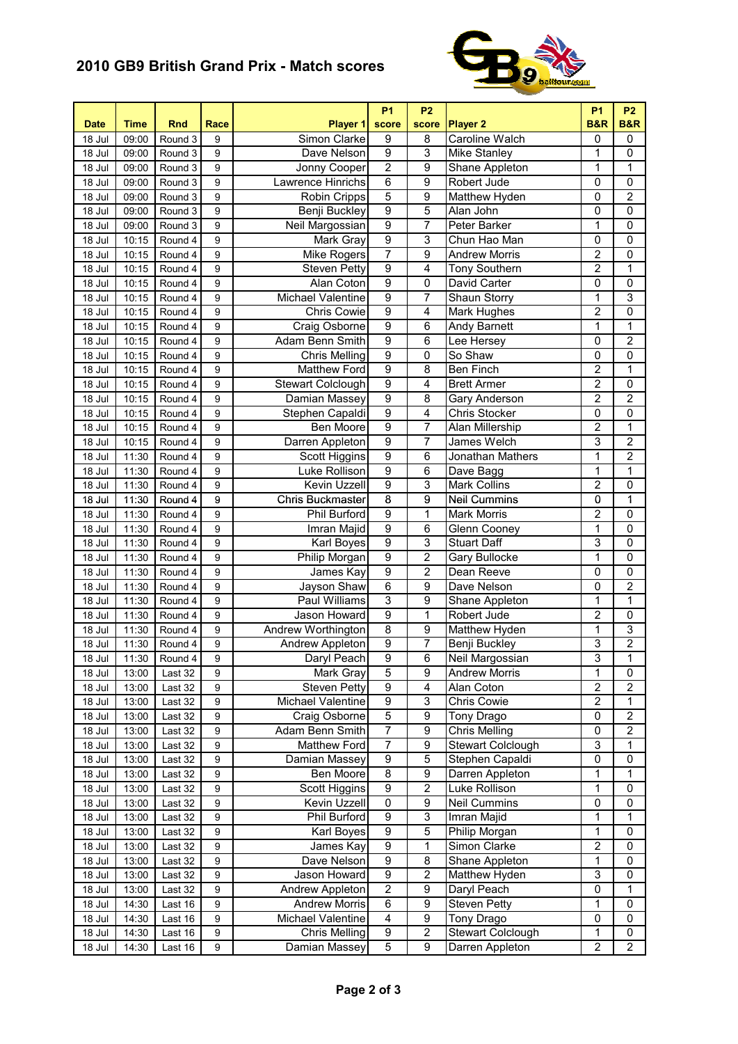## **2010 GB9 British Grand Prix - Match scores**



| <b>Date</b>        | Time           | <b>Rnd</b>         | Race           | Player 1                           | <b>P1</b><br>score      | <b>P2</b><br>score  | <b>Player 2</b>                | <b>P1</b><br><b>B&amp;R</b>      | <b>P2</b><br><b>B&amp;R</b> |
|--------------------|----------------|--------------------|----------------|------------------------------------|-------------------------|---------------------|--------------------------------|----------------------------------|-----------------------------|
| 18 Jul             | 09:00          | Round 3            | 9              | Simon Clarke                       | $\boldsymbol{9}$        | 8                   | Caroline Walch                 | 0                                | 0                           |
| 18 Jul             | 09:00          | Round 3            | 9              | Dave Nelson                        | $\overline{9}$          | 3                   | Mike Stanley                   | 1                                | $\pmb{0}$                   |
| 18 Jul             | 09:00          | Round 3            | 9              | Jonny Cooper                       | $\overline{2}$          | 9                   | Shane Appleton                 | $\mathbf 1$                      | 1                           |
| 18 Jul             | 09:00          | Round 3            | 9              | Lawrence Hinrichs                  | 6                       | $\overline{9}$      | Robert Jude                    | 0                                | 0                           |
| 18 Jul             | 09:00          | Round 3            | 9              | Robin Cripps                       | 5                       | $\overline{9}$      | Matthew Hyden                  | 0                                | $\overline{2}$              |
| 18 Jul             | 09:00          | Round 3            | 9              | <b>Benji Buckley</b>               | $\overline{9}$          | 5                   | Alan John                      | 0                                | $\overline{0}$              |
| 18 Jul             | 09:00          | Round 3            | 9              | <b>Neil Margossian</b>             | $\overline{9}$          | 7                   | Peter Barker                   | $\overline{1}$                   | $\overline{0}$              |
| 18 Jul             | 10:15          | Round 4            | 9              | Mark Gray                          | $\overline{9}$          | 3                   | Chun Hao Man                   | 0                                | 0                           |
| 18 Jul             | 10:15          | Round 4            | 9              | Mike Rogers                        | $\overline{7}$          | $\overline{9}$      | <b>Andrew Morris</b>           | $\overline{2}$                   | 0                           |
| 18 Jul             | 10:15          | Round 4            | 9              | <b>Steven Petty</b>                | $\overline{9}$          | $\overline{4}$      | Tony Southern                  | $\overline{2}$                   | $\mathbf{1}$                |
| 18 Jul             | 10:15          | Round 4            | 9              | Alan Coton                         | $\overline{9}$          | 0                   | David Carter                   | $\pmb{0}$                        | 0                           |
| 18 Jul             | 10:15          | Round 4            | 9              | Michael Valentine                  | 9                       | 7                   | Shaun Storry                   | $\mathbf 1$                      | 3                           |
| 18 Jul             | 10:15          | Round 4            | 9              | <b>Chris Cowie</b>                 | $\overline{9}$          | 4                   | Mark Hughes                    | $\overline{2}$                   | 0                           |
| 18 Jul             | 10:15          | Round 4            | 9              | Craig Osborne                      | 9                       | 6                   | Andy Barnett                   | $\mathbf 1$                      | $\mathbf{1}$                |
| 18 Jul             | 10:15          | Round 4            | 9              | Adam Benn Smith                    | $\overline{9}$          | 6                   | Lee Hersey                     | 0                                | $\overline{\mathbf{c}}$     |
| 18 Jul             | 10:15          | Round 4            | 9              | <b>Chris Melling</b>               | $\overline{9}$          | 0                   | So Shaw                        | 0                                | 0                           |
| 18 Jul             | 10:15          | Round 4            | 9              | <b>Matthew Ford</b>                | $\overline{9}$          | 8                   | Ben Finch                      | $\overline{\mathbf{c}}$          | 1                           |
| 18 Jul             | 10:15          | Round 4            | 9              | <b>Stewart Colclough</b>           | $\overline{9}$          | $\overline{4}$      | <b>Brett Armer</b>             | $\overline{2}$                   | 0                           |
| 18 Jul             | 10:15          | Round 4            | 9              | Damian Massey                      | $\overline{9}$          | 8                   | Gary Anderson                  | $\overline{2}$                   | $\overline{2}$              |
| 18 Jul             | 10:15          | Round 4            | 9              | Stephen Capaldi                    | $\overline{9}$          | 4                   | Chris Stocker                  | $\overline{0}$                   | 0                           |
| 18 Jul             | 10:15          | Round 4            | 9              | Ben Moore                          | $\overline{9}$          | 7                   | Alan Millership                | $\overline{2}$                   | 1                           |
| 18 Jul             | 10:15          | Round 4            | 9              | Darren Appleton                    | $\overline{9}$          | 7                   | James Welch                    | 3                                | $\overline{2}$              |
| 18 Jul             | 11:30          | Round 4            | 9              | Scott Higgins                      | 9                       | 6                   | Jonathan Mathers               | $\mathbf 1$                      | $\overline{c}$              |
| 18 Jul             | 11:30          | Round 4            | 9              | Luke Rollison                      | 9                       | 6                   | Dave Bagg                      | $\overline{1}$                   | $\overline{1}$              |
| 18 Jul             | 11:30          | Round 4            | 9              | Kevin Uzzell                       | 9                       | 3                   | <b>Mark Collins</b>            | $\overline{2}$                   | 0                           |
| 18 Jul             | 11:30          | Round 4            | 9              | Chris Buckmaster                   | 8                       | 9                   | <b>Neil Cummins</b>            | $\overline{0}$                   | 1                           |
| 18 Jul             | 11:30          | Round 4            | 9              | Phil Burford                       | $\overline{9}$          | 1                   | <b>Mark Morris</b>             | $\overline{2}$                   | $\overline{0}$              |
| 18 Jul             | 11:30          | Round 4            | 9              | Imran Majid                        | $\overline{9}$          | 6                   | Glenn Cooney                   | $\mathbf 1$                      | $\overline{0}$              |
| 18 Jul             | 11:30          | Round 4            | 9              | Karl Boyes                         | $\overline{9}$          | 3                   | <b>Stuart Daff</b>             | 3                                | $\mathbf 0$                 |
| 18 Jul             | 11:30          | Round 4            | 9              | Philip Morgan                      | $\overline{9}$          | $\overline{2}$      | Gary Bullocke                  | 1                                | 0                           |
| 18 Jul             | 11:30          | Round 4            | 9              | James Kay                          | $\overline{9}$          | $\overline{2}$      | Dean Reeve                     | 0                                | 0                           |
| 18 Jul             | 11:30          | Round 4            | 9              | Jayson Shaw                        | 6                       | 9                   | Dave Nelson                    | 0                                | 2                           |
| 18 Jul             | 11:30          | Round 4            | 9              | Paul Williams                      | 3<br>$\overline{9}$     | 9                   | Shane Appleton                 | 1                                | 1                           |
| 18 Jul             | 11:30          | Round 4            | 9<br>9         | Jason Howard<br>Andrew Worthington | $\overline{8}$          | 1<br>$\overline{9}$ | Robert Jude                    | $\overline{2}$<br>$\overline{1}$ | 0<br>3                      |
| 18 Jul             | 11:30          | Round 4            | 9              | Andrew Appleton                    | $\overline{9}$          | 7                   | Matthew Hyden<br>Benji Buckley | 3                                | $\overline{2}$              |
| 18 Jul<br>$18$ Jul | 11:30<br>11:30 | Round 4<br>Round 4 | $\overline{9}$ | Daryl Peach                        | $\overline{9}$          | $\overline{6}$      | Neil Margossian                | $\overline{3}$                   | $\overline{\mathbf{1}}$     |
|                    |                |                    | 9              |                                    | $\overline{5}$          | 9                   | <b>Andrew Morris</b>           | 1                                | 0                           |
| 18 Jul<br>18 Jul   | 13:00<br>13:00 | Last 32<br>Last 32 | 9              | Mark Gray<br><b>Steven Petty</b>   | $\overline{9}$          | 4                   | Alan Coton                     | $\overline{2}$                   | 2                           |
| 18 Jul             | 13:00          | Last 32            | 9              | Michael Valentine                  | $\boldsymbol{9}$        | 3                   | Chris Cowie                    | $\overline{2}$                   | 1                           |
| 18 Jul             | 13:00          | Last 32            | 9              | Craig Osborne                      | 5                       | 9                   | Tony Drago                     | 0                                | $\overline{2}$              |
| 18 Jul             | 13:00          | Last 32            | 9              | Adam Benn Smith                    | $\overline{7}$          | 9                   | <b>Chris Melling</b>           | 0                                | $\overline{2}$              |
| 18 Jul             | 13:00          | Last 32            | 9              | Matthew Ford                       | $\overline{7}$          | $\overline{9}$      | Stewart Colclough              | 3                                | 1                           |
| 18 Jul             | 13:00          | Last 32            | 9              | Damian Massey                      | $\overline{9}$          | $\overline{5}$      | Stephen Capaldi                | $\overline{0}$                   | $\overline{0}$              |
| 18 Jul             | 13:00          | Last 32            | 9              | Ben Moore                          | $\overline{\mathbf{8}}$ | $\overline{9}$      | Darren Appleton                | $\mathbf{1}$                     | 1                           |
| 18 Jul             | 13:00          | Last 32            | 9              | <b>Scott Higgins</b>               | 9                       | $\overline{2}$      | Luke Rollison                  | $\mathbf 1$                      | 0                           |
| 18 Jul             | 13:00          | Last 32            | 9              | Kevin Uzzell                       | 0                       | 9                   | <b>Neil Cummins</b>            | 0                                | 0                           |
| 18 Jul             | 13:00          | Last 32            | 9              | Phil Burford                       | $\boldsymbol{9}$        | 3                   | Imran Majid                    | 1                                | 1                           |
| 18 Jul             | 13:00          | Last 32            | 9              | Karl Boyes                         | $\boldsymbol{9}$        | 5                   | Philip Morgan                  | 1                                | 0                           |
| 18 Jul             | 13:00          | Last 32            | 9              | James Kay                          | $\boldsymbol{9}$        | 1                   | Simon Clarke                   | $\overline{2}$                   | 0                           |
| 18 Jul             | 13:00          | Last 32            | 9              | Dave Nelson                        | $\boldsymbol{9}$        | 8                   | Shane Appleton                 | $\mathbf{1}$                     | 0                           |
| 18 Jul             | 13:00          | Last 32            | 9              | Jason Howard                       | $\overline{9}$          | $\overline{2}$      | Matthew Hyden                  | 3                                | 0                           |
| 18 Jul             | 13:00          | Last 32            | 9              | Andrew Appleton                    | $\boldsymbol{2}$        | 9                   | Daryl Peach                    | $\pmb{0}$                        | 1                           |
| 18 Jul             | 14:30          | Last 16            | 9              | <b>Andrew Morris</b>               | $\,6$                   | 9                   | <b>Steven Petty</b>            | 1                                | 0                           |
| 18 Jul             | 14:30          | Last 16            | 9              | Michael Valentine                  | $\overline{4}$          | 9                   | Tony Drago                     | $\pmb{0}$                        | 0                           |
| 18 Jul             | 14:30          | Last 16            | 9              | <b>Chris Melling</b>               | $\overline{9}$          | $\overline{2}$      | Stewart Colclough              | $\overline{1}$                   | $\pmb{0}$                   |
| 18 Jul             | 14:30          | Last 16            | 9              | Damian Massey                      | 5                       | 9                   | Darren Appleton                | $\overline{2}$                   | $\overline{2}$              |